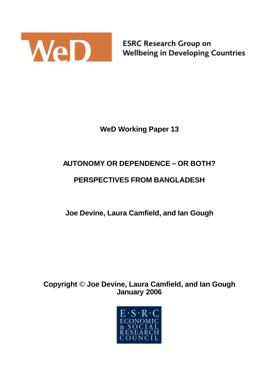

**ESRC Research Group on ESKC Research Group on**<br>Wellbeing in Developing Countries

## **WeD Working Paper 13**

# **AUTONOMY OR DEPENDENCE – OR BOTH?**

## **PERSPECTIVES FROM BANGLADESH**

**Joe Devine, Laura Camfield, and Ian Gough**

**Copyright © Joe Devine, Laura Camfield, and Ian Gough January 2006**

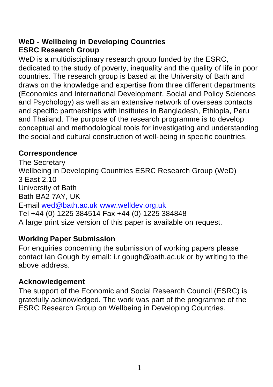## **WeD - Wellbeing in Developing Countries ESRC Research Group**

WeD is a multidisciplinary research group funded by the ESRC, dedicated to the study of poverty, inequality and the quality of life in poor countries. The research group is based at the University of Bath and draws on the knowledge and expertise from three different departments (Economics and International Development, Social and Policy Sciences and Psychology) as well as an extensive network of overseas contacts and specific partnerships with institutes in Bangladesh, Ethiopia, Peru and Thailand. The purpose of the research programme is to develop conceptual and methodological tools for investigating and understanding the social and cultural construction of well-being in specific countries.

### **Correspondence**

The Secretary Wellbeing in Developing Countries ESRC Research Group (WeD) 3 East 2.10 University of Bath Bath BA2 7AY, UK E-mail wed@bath.ac.uk www.welldev.org.uk Tel +44 (0) 1225 384514 Fax +44 (0) 1225 384848 A large print size version of this paper is available on request.

## **Working Paper Submission**

For enquiries concerning the submission of working papers please contact Ian Gough by email: i.r.gough@bath.ac.uk or by writing to the above address.

## **Acknowledgement**

The support of the Economic and Social Research Council (ESRC) is gratefully acknowledged. The work was part of the programme of the ESRC Research Group on Wellbeing in Developing Countries.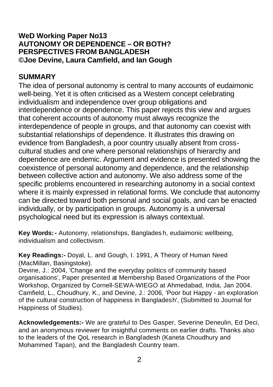#### **WeD Working Paper No13 AUTONOMY OR DEPENDENCE – OR BOTH? PERSPECTIVES FROM BANGLADESH ©Joe Devine, Laura Camfield, and Ian Gough**

#### **SUMMARY**

The idea of personal autonomy is central to many accounts of eudaimonic well-being. Yet it is often criticised as a Western concept celebrating individualism and independence over group obligations and interdependence or dependence. This paper rejects this view and argues that coherent accounts of autonomy must always recognize the interdependence of people in groups, and that autonomy can coexist with substantial relationships of dependence. It illustrates this drawing on evidence from Bangladesh, a poor country usually absent from crosscultural studies and one where personal relationships of hierarchy and dependence are endemic. Argument and evidence is presented showing the coexistence of personal autonomy and dependence, and the relationship between collective action and autonomy. We also address some of the specific problems encountered in researching autonomy in a social context where it is mainly expressed in relational forms. We conclude that autonomy can be directed toward both personal and social goals, and can be enacted individually, or by participation in groups. Autonomy is a universal psychological need but its expression is always contextual.

**Key Words:-** Autonomy, relationships, Banglades h, eudaimonic wellbeing, individualism and collectivism.

**Key Readings:-** Doyal, L. and Gough, I. 1991, A Theory of Human Need (MacMillan, Basingstoke).

Devine, J.: 2004, 'Change and the everyday politics of community based organisations', Paper presented at Membership Based Organizations of the Poor Workshop, Organized by Cornell-SEWA-WIEGO at Ahmedabad, India, Jan 2004. Camfield, L., Choudhury, K., and Devine, J.: 2006, 'Poor but Happy - an exploration of the cultural construction of happiness in Bangladesh', (Submitted to Journal for Happiness of Studies).

**Acknowledgements:-** We are grateful to Des Gasper, Severine Deneulin, Ed Deci, and an anonymous reviewer for insightful comments on earlier drafts. Thanks also to the leaders of the QoL research in Bangladesh (Kaneta Choudhury and Mohammed Tapan), and the Bangladesh Country team.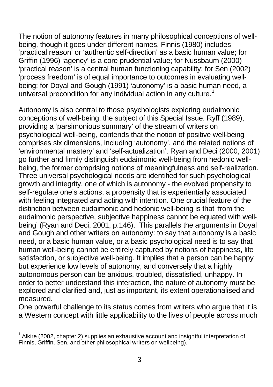The notion of autonomy features in many philosophical conceptions of wellbeing, though it goes under different names. Finnis (1980) includes 'practical reason' or 'authentic self-direction' as a basic human value; for Griffin (1996) 'agency' is a core prudential value; for Nussbaum (2000) 'practical reason' is a central human functioning capability; for Sen (2002) 'process freedom' is of equal importance to outcomes in evaluating wellbeing; for Doyal and Gough (1991) 'autonomy' is a basic human need, a universal precondition for any individual action in any culture.<sup>1</sup>

Autonomy is also central to those psychologists exploring eudaimonic conceptions of well-being, the subject of this Special Issue. Ryff (1989), providing a 'parsimonious summary' of the stream of writers on psychological well-being, contends that the notion of positive well-being comprises six dimensions, including 'autonomy', and the related notions of 'environmental mastery' and 'self-actualization'. Ryan and Deci (2000, 2001) go further and firmly distinguish eudaimonic well-being from hedonic wellbeing, the former comprising notions of meaningfulness and self-realization. Three universal psychological needs are identified for such psychological growth and integrity, one of which is autonomy - the evolved propensity to self-regulate one's actions, a propensity that is experientially associated with feeling integrated and acting with intention. One crucial feature of the distinction between eudaimonic and hedonic well-being is that 'from the eudaimonic perspective, subjective happiness cannot be equated with wellbeing' (Ryan and Deci, 2001, p.146). This parallels the arguments in Doyal and Gough and other writers on autonomy: to say that autonomy is a basic need, or a basic human value, or a basic psychological need is to say that human well-being cannot be entirely captured by notions of happiness, life satisfaction, or subjective well-being. It implies that a person can be happy but experience low levels of autonomy, and conversely that a highly autonomous person can be anxious, troubled, dissatisfied, unhappy. In order to better understand this interaction, the nature of autonomy must be explored and clarified and, just as important, its extent operationalised and measured.

One powerful challenge to its status comes from writers who argue that it is a Western concept with little applicability to the lives of people across much

 $1$  Alkire (2002, chapter 2) supplies an exhaustive account and insightful interpretation of Finnis, Griffin, Sen, and other philosophical writers on wellbeing).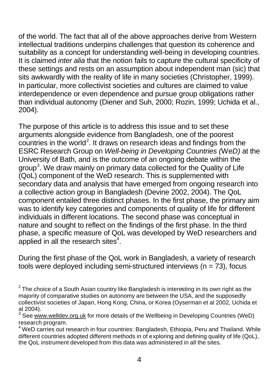of the world. The fact that all of the above approaches derive from Western intellectual traditions underpins challenges that question its coherence and suitability as a concept for understanding well-being in developing countries. It is claimed *inter alia* that the notion fails to capture the cultural specificity of these settings and rests on an assumption about independent man (sic) that sits awkwardly with the reality of life in many societies (Christopher, 1999). In particular, more collectivist societies and cultures are claimed to value interdependence or even dependence and pursue group obligations rather than individual autonomy (Diener and Suh, 2000; Rozin, 1999; Uchida et al., 2004).

The purpose of this article is to address this issue and to set these arguments alongside evidence from Bangladesh, one of the poorest countries in the world<sup>2</sup>. It draws on research ideas and findings from the ESRC Research Group on *Well-being in Developing Countries (*We*D)* at the University of Bath, and is the outcome of an ongoing debate within the group<sup>3</sup>. We draw mainly on primary data collected for the Quality of Life (QoL) component of the WeD research. This is supplemented with secondary data and analysis that have emerged from ongoing research into a collective action group in Bangladesh (Devine 2002, 2004). The QoL component entailed three distinct phases. In the first phase, the primary aim was to identify key categories and components of quality of life for different individuals in different locations. The second phase was conceptual in nature and sought to reflect on the findings of the first phase. In the third phase, a specific measure of QoL was developed by WeD researchers and applied in all the research sites<sup>4</sup>.

During the first phase of the QoL work in Bangladesh, a variety of research tools were deployed including semi-structured interviews ( $n = 73$ ), focus

 $^{\rm 2}$ The choice of a South Asian country like Bangladesh is interesting in its own right as the majority of comparative studies on autonomy are between the USA, and the supposedly collectivist societies of Japan, Hong Kong, China, or Korea (Oyserman et al 2002, Uchida et al 2004).

 $3$  See  $\frac{\text{www.welldev.org.uk}}{\text{two.welldev.org.uk}}$  for more details of the Wellbeing in Developing Countries (WeD) research program.

<sup>4</sup> WeD carries out research in four countries: Bangladesh, Ethiopia, Peru and Thailand. While different countries adopted different methods in of exploring and defining quality of life (QoL), the QoL instrument developed from this data was administered in all the sites.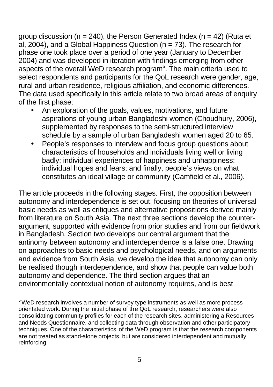group discussion ( $n = 240$ ), the Person Generated Index ( $n = 42$ ) (Ruta et al, 2004), and a Global Happiness Question ( $n = 73$ ). The research for phase one took place over a period of one year (January to December 2004) and was developed in iteration with findings emerging from other aspects of the overall WeD research program<sup>5</sup>. The main criteria used to select respondents and participants for the QoL research were gender, age, rural and urban residence, religious affiliation, and economic differences. The data used specifically in this article relate to two broad areas of enquiry of the first phase:

- An exploration of the goals, values, motivations, and future aspirations of young urban Bangladeshi women (Choudhury, 2006), supplemented by responses to the semi-structured interview schedule by a sample of urban Bangladeshi women aged 20 to 65.
- People's responses to interview and focus group questions about characteristics of households and individuals living well or living badly; individual experiences of happiness and unhappiness; individual hopes and fears; and finally, people's views on what constitutes an ideal village or community (Camfield et al., 2006).

The article proceeds in the following stages. First, the opposition between autonomy and interdependence is set out, focusing on theories of universal basic needs as well as critiques and alternative propositions derived mainly from literature on South Asia. The next three sections develop the counterargument, supported with evidence from prior studies and from our fieldwork in Bangladesh. Section two develops our central argument that the antinomy between autonomy and interdependence is a false one. Drawing on approaches to basic needs and psychological needs, and on arguments and evidence from South Asia, we develop the idea that autonomy can only be realised though interdependence, and show that people can value both autonomy and dependence. The third section argues that an environmentally contextual notion of autonomy requires, and is best

<sup>5</sup>WeD research involves a number of survey type instruments as well as more processorientated work. During the initial phase of the QoL research, researchers were also consolidating community profiles for each of the research sites, administering a Resources and Needs Questionnaire, and collecting data through observation and other participatory techniques. One of the characteristics of the WeD program is that the research components are not treated as stand-alone projects, but are considered interdependent and mutually reinforcing.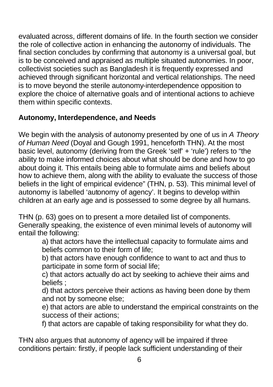evaluated across, different domains of life. In the fourth section we consider the role of collective action in enhancing the autonomy of individuals. The final section concludes by confirming that autonomy is a universal goal, but is to be conceived and appraised as multiple situated autonomies. In poor, collectivist societies such as Bangladesh it is frequently expressed and achieved through significant horizontal and vertical relationships. The need is to move beyond the sterile autonomy-interdependence opposition to explore the choice of alternative goals and of intentional actions to achieve them within specific contexts.

## **Autonomy, Interdependence, and Needs**

We begin with the analysis of autonomy presented by one of us in *A Theory of Human Need* (Doyal and Gough 1991, henceforth THN). At the most basic level, autonomy (deriving from the Greek 'self' + 'rule') refers to "the ability to make informed choices about what should be done and how to go about doing it. This entails being able to formulate aims and beliefs about how to achieve them, along with the ability to evaluate the success of those beliefs in the light of empirical evidence" (THN, p. 53). This minimal level of autonomy is labelled 'autonomy of agency'. It begins to develop within children at an early age and is possessed to some degree by all humans.

THN (p. 63) goes on to present a more detailed list of components. Generally speaking, the existence of even minimal levels of autonomy will entail the following:

a) that actors have the intellectual capacity to formulate aims and beliefs common to their form of life;

b) that actors have enough confidence to want to act and thus to participate in some form of social life;

c) that actors actually do act by seeking to achieve their aims and beliefs ;

d) that actors perceive their actions as having been done by them and not by someone else;

e) that actors are able to understand the empirical constraints on the success of their actions;

f) that actors are capable of taking responsibility for what they do.

THN also argues that autonomy of agency will be impaired if three conditions pertain: firstly, if people lack sufficient understanding of their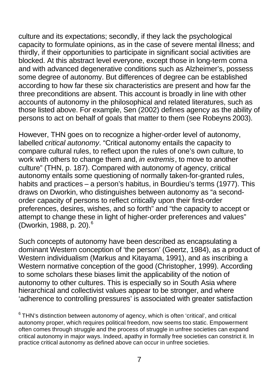culture and its expectations; secondly, if they lack the psychological capacity to formulate opinions, as in the case of severe mental illness; and thirdly, if their opportunities to participate in significant social activities are blocked. At this abstract level everyone, except those in long-term coma and with advanced degenerative conditions such as Alzheimer's, possess some degree of autonomy. But differences of degree can be established according to how far these six characteristics are present and how far the three preconditions are absent. This account is broadly in line with other accounts of autonomy in the philosophical and related literatures, such as those listed above. For example, Sen (2002) defines agency as the ability of persons to act on behalf of goals that matter to them (see Robeyns 2003).

However, THN goes on to recognize a higher-order level of autonomy, labelled *critical autonomy*. "Critical autonomy entails the capacity to compare cultural rules, to reflect upon the rules of one's own culture, to work with others to change them and, *in extremis*, to move to another culture" (THN, p. 187). Compared with autonomy of agency, critical autonomy entails some questioning of normally taken-for-granted rules, habits and practices – a person's habitus, in Bourdieu's terms (1977). This draws on Dworkin, who distinguishes between autonomy as "a secondorder capacity of persons to reflect critically upon their first-order preferences, desires, wishes, and so forth" and "the capacity to accept or attempt to change these in light of higher-order preferences and values" (Dworkin, 1988, p. 20).<sup>6</sup>

Such concepts of autonomy have been described as encapsulating a dominant Western conception of 'the person' (Geertz, 1984), as a product of Western individualism (Markus and Kitayama, 1991), and as inscribing a Western normative conception of the good (Christopher, 1999). According to some scholars these biases limit the applicability of the notion of autonomy to other cultures. This is especially so in South Asia where hierarchical and collectivist values appear to be stronger, and where 'adherence to controlling pressures' is associated with greater satisfaction

 $6$ THN's distinction between autonomy of agency, which is often 'critical', and critical autonomy proper, which requires political freedom, now seems too static. Empowerment often comes through struggle and the process of struggle in unfree societies can expand critical autonomy in major ways. Indeed, apathy in formally free societies can constrict it. In practice critical autonomy as defined above can occur in unfree societies.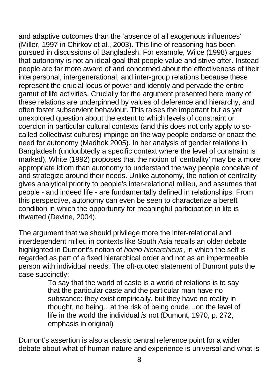and adaptive outcomes than the 'absence of all exogenous influences' (Miller, 1997 in Chirkov et al., 2003). This line of reasoning has been pursued in discussions of Bangladesh. For example, Wilce (1998) argues that autonomy is not an ideal goal that people value and strive after. Instead people are far more aware of and concerned about the effectiveness of their interpersonal, intergenerational, and inter-group relations because these represent the crucial locus of power and identity and pervade the entire gamut of life activities. Crucially for the argument presented here many of these relations are underpinned by values of deference and hierarchy, and often foster subservient behaviour. This raises the important but as yet unexplored question about the extent to which levels of constraint or coercion in particular cultural contexts (and this does not only apply to socalled collectivist cultures) impinge on the way people endorse or enact the need for autonomy (Madhok 2005). In her analysis of gender relations in Bangladesh (undoubtedly a specific context where the level of constraint is marked), White (1992) proposes that the notion of 'centrality' may be a more appropriate idiom than autonomy to understand the way people conceive of and strategize around their needs. Unlike autonomy, the notion of centrality gives analytical priority to people's inter-relational milieu, and assumes that people - and indeed life - are fundamentally defined in relationships. From this perspective, autonomy can even be seen to characterize a bereft condition in which the opportunity for meaningful participation in life is thwarted (Devine, 2004).

The argument that we should privilege more the inter-relational and interdependent milieu in contexts like South Asia recalls an older debate highlighted in Dumont's notion of *homo hierarchicus*, in which the self is regarded as part of a fixed hierarchical order and not as an impermeable person with individual needs. The oft-quoted statement of Dumont puts the case succinctly:

To say that the world of caste is a world of relations is to say that the particular caste and the particular man have no substance: they exist empirically, but they have no reality in thought, no being…at the risk of being crude…on the level of life in the world the individual *is* not (Dumont, 1970, p. 272, emphasis in original)

Dumont's assertion is also a classic central reference point for a wider debate about what of human nature and experience is universal and what is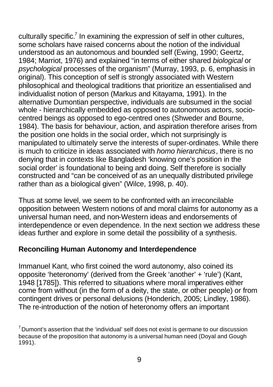culturally specific.<sup>7</sup> In examining the expression of self in other cultures, some scholars have raised concerns about the notion of the individual understood as an autonomous and bounded self (Ewing, 1990; Geertz, 1984; Marriot, 1976) and explained "in terms of either shared *biological* or *psychological* processes of the organism" (Murray, 1993, p. 6, emphasis in original). This conception of self is strongly associated with Western philosophical and theological traditions that prioritize an essentialised and individualist notion of person (Markus and Kitayama, 1991). In the alternative Dumontian perspective, individuals are subsumed in the social whole - hierarchically embedded as opposed to autonomous actors, sociocentred beings as opposed to ego-centred ones (Shweder and Bourne, 1984). The basis for behaviour, action, and aspiration therefore arises from the position one holds in the social order, which not surprisingly is manipulated to ultimately serve the interests of super-ordinates. While there is much to criticize in ideas associated with *homo hierarchicus*, there is no denying that in contexts like Bangladesh 'knowing one's position in the social order' is foundational to being and doing. Self therefore is socially constructed and "can be conceived of as an unequally distributed privilege rather than as a biological given" (Wilce, 1998, p. 40).

Thus at some level, we seem to be confronted with an irreconcilable opposition between Western notions of and moral claims for autonomy as a universal human need, and non-Western ideas and endorsements of interdependence or even dependence. In the next section we address these ideas further and explore in some detail the possibility of a synthesis.

#### **Reconciling Human Autonomy and Interdependence**

Immanuel Kant, who first coined the word autonomy, also coined its opposite 'heteronomy' (derived from the Greek 'another' + 'rule') (Kant, 1948 [1785]). This referred to situations where moral imperatives either come from without (in the form of a deity, the state, or other people) or from contingent drives or personal delusions (Honderich, 2005; Lindley, 1986). The re-introduction of the notion of heteronomy offers an important

 $7$  Dumont's assertion that the 'individual' self does not exist is germane to our discussion because of the proposition that autonomy is a universal human need (Doyal and Gough 1991).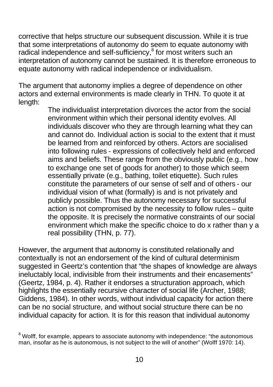corrective that helps structure our subsequent discussion. While it is true that some interpretations of autonomy do seem to equate autonomy with radical independence and self-sufficiency, $8$  for most writers such an interpretation of autonomy cannot be sustained. It is therefore erroneous to equate autonomy with radical independence or individualism.

The argument that autonomy implies a degree of dependence on other actors and external environments is made clearly in THN. To quote it at length:

The individualist interpretation divorces the actor from the social environment within which their personal identity evolves. All individuals discover who they are through learning what they can and cannot do. Individual action is social to the extent that it must be learned from and reinforced by others. Actors are socialised into following rules - expressions of collectively held and enforced aims and beliefs. These range from the obviously public (e.g., how to exchange one set of goods for another) to those which seem essentially private (e.g., bathing, toilet etiquette). Such rules constitute the parameters of our sense of self and of others - our individual vision of what (formally) is and is not privately and publicly possible. Thus the autonomy necessary for successful action is not compromised by the necessity to follow rules – quite the opposite. It is precisely the normative constraints of our social environment which make the specific choice to do x rather than y a real possibility (THN, p. 77).

However, the argument that autonomy is constituted relationally and contextually is not an endorsement of the kind of cultural determinism suggested in Geertz's contention that "the shapes of knowledge are always ineluctably local, indivisible from their instruments and their encasements" (Geertz, 1984, p. 4). Rather it endorses a structuration approach, which highlights the essentially recursive character of social life (Archer, 1988; Giddens, 1984). In other words, without individual capacity for action there can be no social structure, and without social structure there can be no individual capacity for action. It is for this reason that individual autonomy

 $8$  Wolff, for example, appears to associate autonomy with independence: "the autonomous man, insofar as he is autonomous, is not subject to the will of another" (Wolff 1970: 14).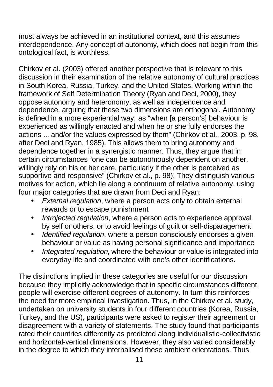must always be achieved in an institutional context, and this assumes interdependence. Any concept of autonomy, which does not begin from this ontological fact, is worthless.

Chirkov et al. (2003) offered another perspective that is relevant to this discussion in their examination of the relative autonomy of cultural practices in South Korea, Russia, Turkey, and the United States. Working within the framework of Self Determination Theory (Ryan and Deci, 2000), they oppose autonomy and heteronomy, as well as independence and dependence, arguing that these two dimensions are orthogonal. Autonomy is defined in a more experiential way, as "when [a person's] behaviour is experienced as willingly enacted and when he or she fully endorses the actions ... and/or the values expressed by them" (Chirkov et al., 2003, p. 98, after Deci and Ryan, 1985). This allows them to bring autonomy and dependence together in a synergistic manner. Thus, they argue that in certain circumstances "one can be autonomously dependent on another, willingly rely on his or her care, particularly if the other is perceived as supportive and responsive" (Chirkov et al., p. 98). They distinguish various motives for action, which lie along a continuum of relative autonomy, using four major categories that are drawn from Deci and Ryan:

- *External regulation*, where a person acts only to obtain external rewards or to escape punishment
- *Introjected regulation*, where a person acts to experience approval by self or others, or to avoid feelings of quilt or self-disparagement
- *Identified regulation*, where a person consciously endorses a given behaviour or value as having personal significance and importance
- *Integrated regulation*, where the behaviour or value is integrated into everyday life and coordinated with one's other identifications.

The distinctions implied in these categories are useful for our discussion because they implicitly acknowledge that in specific circumstances different people will exercise different degrees of autonomy. In turn this reinforces the need for more empirical investigation. Thus, in the Chirkov et al. study, undertaken on university students in four different countries (Korea, Russia, Turkey, and the US), participants were asked to register their agreement or disagreement with a variety of statements. The study found that participants rated their countries differently as predicted along individualistic-collectivistic and horizontal-vertical dimensions. However, they also varied considerably in the degree to which they internalised these ambient orientations. Thus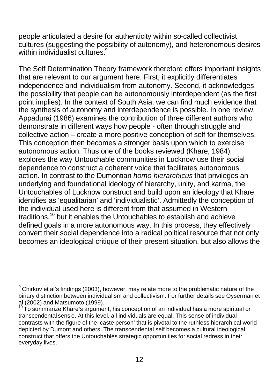people articulated a desire for authenticity within so-called collectivist cultures (suggesting the possibility of autonomy), and heteronomous desires within individualist cultures.<sup>9</sup>

The Self Determination Theory framework therefore offers important insights that are relevant to our argument here. First, it explicitly differentiates independence and individualism from autonomy. Second, it acknowledges the possibility that people can be autonomously interdependent (as the first point implies). In the context of South Asia, we can find much evidence that the synthesis of autonomy and interdependence is possible. In one review, Appadurai (1986) examines the contribution of three different authors who demonstrate in different ways how people - often through struggle and collective action – create a more positive conception of self for themselves. This conception then becomes a stronger basis upon which to exercise autonomous action. Thus one of the books reviewed (Khare, 1984), explores the way Untouchable communities in Lucknow use their social dependence to construct a coherent voice that facilitates autonomous action. In contrast to the Dumontian *homo hierarchicus* that privileges an underlying and foundational ideology of hierarchy, unity, and karma, the Untouchables of Lucknow construct and build upon an ideology that Khare identifies as 'equalitarian' and 'individualistic'. Admittedly the conception of the individual used here is different from that assumed in Western traditions.<sup>10</sup> but it enables the Untouchables to establish and achieve defined goals in a more autonomous way. In this process, they effectively convert their social dependence into a radical political resource that not only becomes an ideological critique of their present situation, but also allows the

 $9$  Chirkov et al's findings (2003), however, may relate more to the problematic nature of the binary distinction between individualism and collectivism. For further details see Oyserman et al (2002) and Matsumoto (1999).

<sup>10&</sup>lt;br><sup>10</sup> To summarize Khare's argument, his conception of an individual has a more spiritual or transcendental sens e. At this level, all individuals are equal. This sense of individual contrasts with the figure of the 'caste person' that is pivotal to the ruthless hierarchical world depicted by Dumont and others. The transcendental self becomes a cultural ideological construct that offers the Untouchables strategic opportunities for social redress in their everyday lives.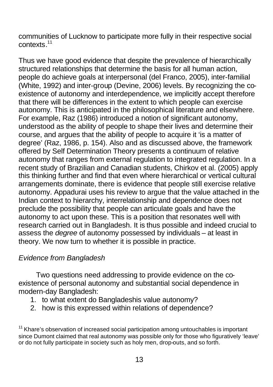communities of Lucknow to participate more fully in their respective social contexts.<sup>11</sup>

Thus we have good evidence that despite the prevalence of hierarchically structured relationships that determine the basis for all human action, people do achieve goals at interpersonal (del Franco, 2005), inter-familial (White, 1992) and inter-group (Devine, 2006) levels. By recognizing the coexistence of autonomy and interdependence, we implicitly accept therefore that there will be differences in the extent to which people can exercise autonomy. This is anticipated in the philosophical literature and elsewhere. For example, Raz (1986) introduced a notion of significant autonomy, understood as the ability of people to shape their lives and determine their course, and argues that the ability of people to acquire it 'is a matter of degree' (Raz, 1986, p. 154). Also and as discussed above, the framework offered by Self Determination Theory presents a continuum of relative autonomy that ranges from external regulation to integrated regulation. In a recent study of Brazilian and Canadian students, Chirkov et al. (2005) apply this thinking further and find that even where hierarchical or vertical cultural arrangements dominate, there is evidence that people still exercise relative autonomy. Appadurai uses his review to argue that the value attached in the Indian context to hierarchy, interrelationship and dependence does not preclude the possibility that people can articulate goals and have the autonomy to act upon these. This is a position that resonates well with research carried out in Bangladesh. It is thus possible and indeed crucial to assess the *degree* of autonomy possessed by individuals – at least in theory. We now turn to whether it is possible in practice.

#### *Evidence from Bangladesh*

Two questions need addressing to provide evidence on the coexistence of personal autonomy and substantial social dependence in modern-day Bangladesh:

- 1. to what extent do Bangladeshis value autonomy?
- 2. how is this expressed within relations of dependence?

 $11$  Khare's observation of increased social participation among untouchables is important since Dumont claimed that real autonomy was possible only for those who figuratively 'leave' or do not fully participate in society such as holy men, drop-outs, and so forth.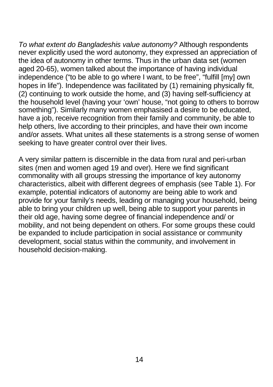*To what extent do Bangladeshis value autonomy?* Although respondents never explicitly used the word autonomy, they expressed an appreciation of the idea of autonomy in other terms. Thus in the urban data set (women aged 20-65), women talked about the importance of having individual independence ("to be able to go where I want, to be free", "fulfill [my] own hopes in life"). Independence was facilitated by (1) remaining physically fit, (2) continuing to work outside the home, and (3) having self-sufficiency at the household level (having your 'own' house, "not going to others to borrow something"). Similarly many women emphasised a desire to be educated, have a job, receive recognition from their family and community, be able to help others, live according to their principles, and have their own income and/or assets. What unites all these statements is a strong sense of women seeking to have greater control over their lives.

A very similar pattern is discernible in the data from rural and peri-urban sites (men and women aged 19 and over). Here we find significant commonality with all groups stressing the importance of key autonomy characteristics, albeit with different degrees of emphasis (see Table 1). For example, potential indicators of autonomy are being able to work and provide for your family's needs, leading or managing your household, being able to bring your children up well, being able to support your parents in their old age, having some degree of financial independence and/ or mobility, and not being dependent on others. For some groups these could be expanded to include participation in social assistance or community development, social status within the community, and involvement in household decision-making.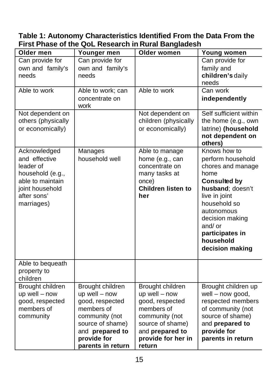#### **Table 1: Autonomy Characteristics Identified From the Data From the First Phase of the QoL Research in Rural Bangladesh**

| Older men                                                                                                                          | Younger men                                                                                                                                                     | Older women                                                                                                                                                 | Young women                                                                                                                                                                                                                               |
|------------------------------------------------------------------------------------------------------------------------------------|-----------------------------------------------------------------------------------------------------------------------------------------------------------------|-------------------------------------------------------------------------------------------------------------------------------------------------------------|-------------------------------------------------------------------------------------------------------------------------------------------------------------------------------------------------------------------------------------------|
| Can provide for<br>own and family's<br>needs                                                                                       | Can provide for<br>own and family's<br>needs                                                                                                                    |                                                                                                                                                             | Can provide for<br>family and<br>children's daily<br>needs                                                                                                                                                                                |
| Able to work                                                                                                                       | Able to work; can<br>concentrate on<br>work                                                                                                                     | Able to work                                                                                                                                                | Can work<br>independently                                                                                                                                                                                                                 |
| Not dependent on<br>others (physically<br>or economically)                                                                         |                                                                                                                                                                 | Not dependent on<br>children (physically<br>or economically)                                                                                                | Self sufficient within<br>the home (e.g., own<br>latrine) (household<br>not dependent on<br>others)                                                                                                                                       |
| Acknowledged<br>and effective<br>leader of<br>household (e.g.,<br>able to maintain<br>joint household<br>after sons'<br>marriages) | Manages<br>household well                                                                                                                                       | Able to manage<br>home (e.g., can<br>concentrate on<br>many tasks at<br>once)<br><b>Children listen to</b><br>her                                           | Knows how to<br>perform household<br>chores and manage<br>home<br><b>Consulted by</b><br>husband; doesn't<br>live in joint<br>household so<br>autonomous<br>decision making<br>and/ or<br>participates in<br>household<br>decision making |
| Able to bequeath<br>property to<br>children                                                                                        |                                                                                                                                                                 |                                                                                                                                                             |                                                                                                                                                                                                                                           |
| Brought children<br>up well - now<br>good, respected<br>members of<br>community                                                    | Brought children<br>up well - now<br>good, respected<br>members of<br>community (not<br>source of shame)<br>and prepared to<br>provide for<br>parents in return | Brought children<br>up well - now<br>good, respected<br>members of<br>community (not<br>source of shame)<br>and prepared to<br>provide for her in<br>return | Brought children up<br>well - now good,<br>respected members<br>of community (not<br>source of shame)<br>and prepared to<br>provide for<br>parents in return                                                                              |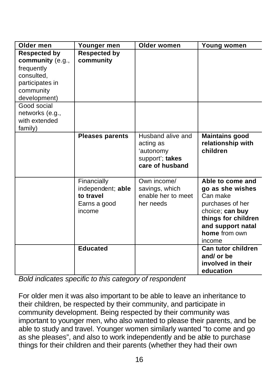| Older men           | Younger men                                                             | Older women                                                      | Young women                                                                                                                                                    |
|---------------------|-------------------------------------------------------------------------|------------------------------------------------------------------|----------------------------------------------------------------------------------------------------------------------------------------------------------------|
| <b>Respected by</b> | <b>Respected by</b>                                                     |                                                                  |                                                                                                                                                                |
| community (e.g.,    | community                                                               |                                                                  |                                                                                                                                                                |
| frequently          |                                                                         |                                                                  |                                                                                                                                                                |
| consulted,          |                                                                         |                                                                  |                                                                                                                                                                |
| participates in     |                                                                         |                                                                  |                                                                                                                                                                |
| community           |                                                                         |                                                                  |                                                                                                                                                                |
| development)        |                                                                         |                                                                  |                                                                                                                                                                |
| Good social         |                                                                         |                                                                  |                                                                                                                                                                |
| networks (e.g.,     |                                                                         |                                                                  |                                                                                                                                                                |
| with extended       |                                                                         |                                                                  |                                                                                                                                                                |
| family)             |                                                                         |                                                                  |                                                                                                                                                                |
|                     | <b>Pleases parents</b>                                                  | Husband alive and<br>acting as<br>'autonomy                      | <b>Maintains good</b><br>relationship with<br>children                                                                                                         |
|                     |                                                                         | support'; takes<br>care of husband                               |                                                                                                                                                                |
|                     | Financially<br>independent; able<br>to travel<br>Earns a good<br>income | Own income/<br>savings, which<br>enable her to meet<br>her needs | Able to come and<br>go as she wishes<br>Can make<br>purchases of her<br>choice; can buy<br>things for children<br>and support natal<br>home from own<br>income |
|                     | <b>Educated</b>                                                         |                                                                  | <b>Can tutor children</b><br>and/ or be<br>involved in their<br>education                                                                                      |

*Bold indicates specific to this category of respondent*

For older men it was also important to be able to leave an inheritance to their children, be respected by their community, and participate in community development. Being respected by their community was important to younger men, who also wanted to please their parents, and be able to study and travel. Younger women similarly wanted "to come and go as she pleases", and also to work independently and be able to purchase things for their children and their parents (whether they had their own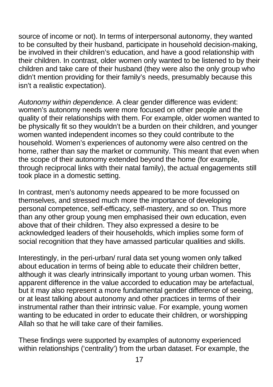source of income or not). In terms of interpersonal autonomy, they wanted to be consulted by their husband, participate in household decision-making, be involved in their children's education, and have a good relationship with their children. In contrast, older women only wanted to be listened to by their children and take care of their husband (they were also the only group who didn't mention providing for their family's needs, presumably because this isn't a realistic expectation).

*Autonomy within dependence.* A clear gender difference was evident: women's autonomy needs were more focused on other people and the quality of their relationships with them. For example, older women wanted to be physically fit so they wouldn't be a burden on their children, and younger women wanted independent incomes so they could contribute to the household. Women's experiences of autonomy were also centred on the home, rather than say the market or community. This meant that even when the scope of their autonomy extended beyond the home (for example, through reciprocal links with their natal family), the actual engagements still took place in a domestic setting.

In contrast, men's autonomy needs appeared to be more focussed on themselves, and stressed much more the importance of developing personal competence, self-efficacy, self-mastery, and so on. Thus more than any other group young men emphasised their own education, even above that of their children. They also expressed a desire to be acknowledged leaders of their households, which implies some form of social recognition that they have amassed particular qualities and skills.

Interestingly, in the peri-urban/ rural data set young women only talked about education in terms of being able to educate their children better, although it was clearly intrinsically important to young urban women. This apparent difference in the value accorded to education may be artefactual, but it may also represent a more fundamental gender difference of seeing, or at least talking about autonomy and other practices in terms of their instrumental rather than their intrinsic value. For example, young women wanting to be educated in order to educate their children, or worshipping Allah so that he will take care of their families.

These findings were supported by examples of autonomy experienced within relationships ('centrality') from the urban dataset. For example, the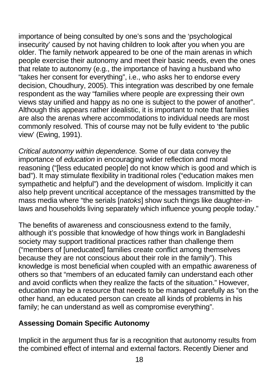importance of being consulted by one's sons and the 'psychological insecurity' caused by not having children to look after you when you are older. The family network appeared to be one of the main arenas in which people exercise their autonomy and meet their basic needs, even the ones that relate to autonomy (e.g., the importance of having a husband who "takes her consent for everything", i.e., who asks her to endorse every decision, Choudhury, 2005). This integration was described by one female respondent as the way "families where people are expressing their own views stay unified and happy as no one is subject to the power of another". Although this appears rather idealistic, it is important to note that families are also the arenas where accommodations to individual needs are most commonly resolved. This of course may not be fully evident to 'the public view' (Ewing, 1991).

*Critical autonomy within dependence.* Some of our data convey the importance of *education* in encouraging wider reflection and moral reasoning ("[less educated people] do not know which is good and which is bad"). It may stimulate flexibility in traditional roles ("education makes men sympathetic and helpful") and the development of wisdom. Implicitly it can also help prevent uncritical acceptance of the messages transmitted by the mass media where "the serials [*natoks*] show such things like daughter-inlaws and households living separately which influence young people today."

The benefits of awareness and consciousness extend to the family, although it's possible that knowledge of how things work in Bangladeshi society may support traditional practices rather than challenge them ("members of [uneducated] families create conflict among themselves because they are not conscious about their role in the family"). This knowledge is most beneficial when coupled with an empathic awareness of others so that "members of an educated family can understand each other and avoid conflicts when they realize the facts of the situation." However, education may be a resource that needs to be managed carefully as "on the other hand, an educated person can create all kinds of problems in his family; he can understand as well as compromise everything".

#### **Assessing Domain Specific Autonomy**

Implicit in the argument thus far is a recognition that autonomy results from the combined effect of internal and external factors. Recently Diener and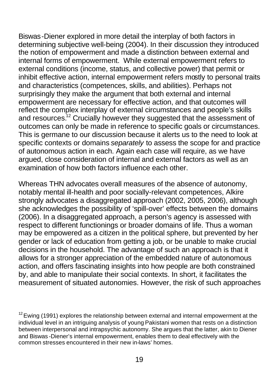Biswas-Diener explored in more detail the interplay of both factors in determining subjective well-being (2004). In their discussion they introduced the notion of empowerment and made a distinction between external and internal forms of empowerment. While external empowerment refers to external conditions (income, status, and collective power) that permit or inhibit effective action, internal empowerment refers mostly to personal traits and characteristics (competences, skills, and abilities). Perhaps not surprisingly they make the argument that both external and internal empowerment are necessary for effective action, and that outcomes will reflect the complex interplay of external circumstances and people's skills and resources.<sup>12</sup> Crucially however they suggested that the assessment of outcomes can only be made in reference to specific goals or circumstances. This is germane to our discussion because it alerts us to the need to look at specific contexts or domains *separately* to assess the scope for and practice of autonomous action in each. Again each case will require, as we have argued, close consideration of internal and external factors as well as an examination of how both factors influence each other.

Whereas THN advocates overall measures of the absence of autonomy, notably mental ill-health and poor socially-relevant competences, Alkire strongly advocates a disaggregated approach (2002, 2005, 2006), although she acknowledges the possibility of 'spill-over' effects between the domains (2006). In a disaggregated approach, a person's agency is assessed with respect to different functionings or broader domains of life. Thus a woman may be empowered as a citizen in the political sphere, but prevented by her gender or lack of education from getting a job, or be unable to make crucial decisions in the household. The advantage of such an approach is that it allows for a stronger appreciation of the embedded nature of autonomous action, and offers fascinating insights into how people are both constrained by, and able to manipulate their social contexts. In short, it facilitates the measurement of situated autonomies. However, the risk of such approaches

 $12$  Ewing (1991) explores the relationship between external and internal empowerment at the individual level in an intriguing analysis of young Pakistani women that rests on a distinction between interpersonal and intrapsychic autonomy. She argues that the latter, akin to Diener and Biswas -Diener's internal empowerment, enables them to deal effectively with the common stresses encountered in their new in-laws' homes.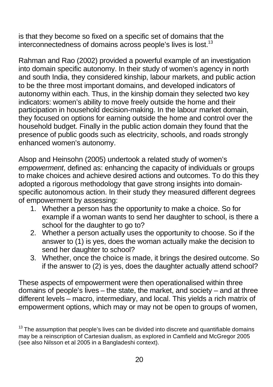is that they become so fixed on a specific set of domains that the interconnectedness of domains across people's lives is lost.<sup>13</sup>

Rahman and Rao (2002) provided a powerful example of an investigation into domain specific autonomy. In their study of women's agency in north and south India, they considered kinship, labour markets, and public action to be the three most important domains, and developed indicators of autonomy within each. Thus, in the kinship domain they selected two key indicators: women's ability to move freely outside the home and their participation in household decision-making. In the labour market domain, they focused on options for earning outside the home and control over the household budget. Finally in the public action domain they found that the presence of public goods such as electricity, schools, and roads strongly enhanced women's autonomy.

Alsop and Heinsohn (2005) undertook a related study of women's *empowerment*, defined as: enhancing the capacity of individuals or groups to make choices and achieve desired actions and outcomes. To do this they adopted a rigorous methodology that gave strong insights into domainspecific autonomous action. In their study they measured different degrees of empowerment by assessing:

- 1. Whether a person has the opportunity to make a choice. So for example if a woman wants to send her daughter to school, is there a school for the daughter to go to?
- 2. Whether a person actually uses the opportunity to choose. So if the answer to (1) is yes, does the woman actually make the decision to send her daughter to school?
- 3. Whether, once the choice is made, it brings the desired outcome. So if the answer to (2) is yes, does the daughter actually attend school?

These aspects of empowerment were then operationalised within three domains of people's lives – the state, the market, and society – and at three different levels – macro, intermediary, and local. This yields a rich matrix of empowerment options, which may or may not be open to groups of women,

 $13$  The assumption that people's lives can be divided into discrete and quantifiable domains may be a reinscription of Cartesian dualism, as explored in Camfield and McGregor 2005 (see also Nilsson et al 2005 in a Bangladeshi context).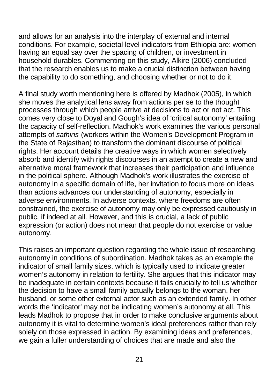and allows for an analysis into the interplay of external and internal conditions. For example, societal level indicators from Ethiopia are: women having an equal say over the spacing of children, or investment in household durables. Commenting on this study, Alkire (2006) concluded that the research enables us to make a crucial distinction between having the capability to do something, and choosing whether or not to do it.

A final study worth mentioning here is offered by Madhok (2005), in which she moves the analytical lens away from actions per se to the thought processes through which people arrive at decisions to act or not act. This comes very close to Doyal and Gough's idea of 'critical autonomy' entailing the capacity of self-reflection. Madhok's work examines the various personal attempts of *sathins* (workers within the Women's Development Program in the State of Rajasthan) to transform the dominant discourse of political rights. Her account details the creative ways in which women selectively absorb and identify with rights discourses in an attempt to create a new and alternative moral framework that increases their participation and influence in the political sphere. Although Madhok's work illustrates the exercise of autonomy in a specific domain of life, her invitation to focus more on ideas than actions advances our understanding of autonomy, especially in adverse environments. In adverse contexts, where freedoms are often constrained, the exercise of autonomy may only be expressed cautiously in public, if indeed at all. However, and this is crucial, a lack of public expression (or action) does not mean that people do not exercise or value autonomy.

This raises an important question regarding the whole issue of researching autonomy in conditions of subordination. Madhok takes as an example the indicator of small family sizes, which is typically used to indicate greater women's autonomy in relation to fertility. She argues that this indicator may be inadequate in certain contexts because it fails crucially to tell us whether the decision to have a small family actually belongs to the woman, her husband, or some other external actor such as an extended family. In other words the 'indicator' may not be indicating women's autonomy at all. This leads Madhok to propose that in order to make conclusive arguments about autonomy it is vital to determine women's ideal preferences rather than rely solely on those expressed in action. By examining ideas and preferences, we gain a fuller understanding of choices that are made and also the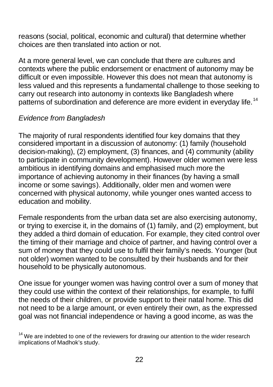reasons (social, political, economic and cultural) that determine whether choices are then translated into action or not.

At a more general level, we can conclude that there are cultures and contexts where the public endorsement or enactment of autonomy may be difficult or even impossible. However this does not mean that autonomy is less valued and this represents a fundamental challenge to those seeking to carry out research into autonomy in contexts like Bangladesh where patterns of subordination and deference are more evident in everyday life.<sup>14</sup>

## *Evidence from Bangladesh*

The majority of rural respondents identified four key domains that they considered important in a discussion of autonomy: (1) family (household decision-making), (2) employment, (3) finances, and (4) community (ability to participate in community development). However older women were less ambitious in identifying domains and emphasised much more the importance of achieving autonomy in their finances (by having a small income or some savings). Additionally, older men and women were concerned with physical autonomy, while younger ones wanted access to education and mobility.

Female respondents from the urban data set are also exercising autonomy, or trying to exercise it, in the domains of (1) family, and (2) employment, but they added a third domain of education. For example, they cited control over the timing of their marriage and choice of partner, and having control over a sum of money that they could use to fulfil their family's needs. Younger (but not older) women wanted to be consulted by their husbands and for their household to be physically autonomous.

One issue for younger women was having control over a sum of money that they could use within the context of their relationships, for example, to fulfil the needs of their children, or provide support to their natal home. This did not need to be a large amount, or even entirely their own, as the expressed goal was not financial independence or having a good income, as was the

 $14$  We are indebted to one of the reviewers for drawing our attention to the wider research implications of Madhok's study.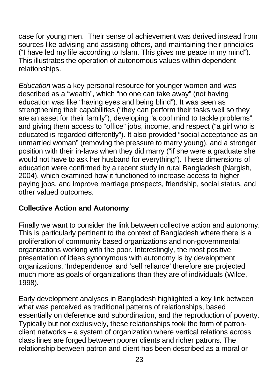case for young men. Their sense of achievement was derived instead from sources like advising and assisting others, and maintaining their principles ("I have led my life according to Islam. This gives me peace in my mind"). This illustrates the operation of autonomous values within dependent relationships.

*Education* was a key personal resource for younger women and was described as a "wealth", which "no one can take away" (not having education was like "having eyes and being blind"). It was seen as strengthening their capabilities ("they can perform their tasks well so they are an asset for their family"), developing "a cool mind to tackle problems", and giving them access to "office" jobs, income, and respect ("a girl who is educated is regarded differently"). It also provided "social acceptance as an unmarried woman" (removing the pressure to marry young), and a stronger position with their in-laws when they did marry ("if she were a graduate she would not have to ask her husband for everything"). These dimensions of education were confirmed by a recent study in rural Bangladesh (Nargish, 2004), which examined how it functioned to increase access to higher paying jobs, and improve marriage prospects, friendship, social status, and other valued outcomes.

## **Collective Action and Autonomy**

Finally we want to consider the link between collective action and autonomy. This is particularly pertinent to the context of Bangladesh where there is a proliferation of community based organizations and non-governmental organizations working with the poor. Interestingly, the most positive presentation of ideas synonymous with autonomy is by development organizations. 'Independence' and 'self reliance' therefore are projected much more as goals of organizations than they are of individuals (Wilce, 1998).

Early development analyses in Bangladesh highlighted a key link between what was perceived as traditional patterns of relationships, based essentially on deference and subordination, and the reproduction of poverty. Typically but not exclusively, these relationships took the form of patronclient networks – a system of organization where vertical relations across class lines are forged between poorer clients and richer patrons. The relationship between patron and client has been described as a moral or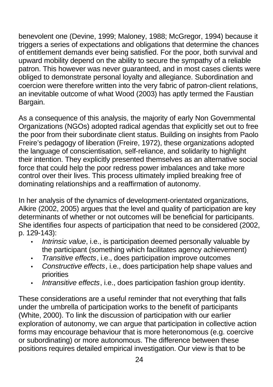benevolent one (Devine, 1999; Maloney, 1988; McGregor, 1994) because it triggers a series of expectations and obligations that determine the chances of entitlement demands ever being satisfied. For the poor, both survival and upward mobility depend on the ability to secure the sympathy of a reliable patron. This however was never guaranteed, and in most cases clients were obliged to demonstrate personal loyalty and allegiance. Subordination and coercion were therefore written into the very fabric of patron-client relations, an inevitable outcome of what Wood (2003) has aptly termed the Faustian Bargain.

As a consequence of this analysis, the majority of early Non Governmental Organizations (NGOs) adopted radical agendas that explicitly set out to free the poor from their subordinate client status. Building on insights from Paolo Freire's pedagogy of liberation (Freire, 1972), these organizations adopted the language of conscientisation, self-reliance, and solidarity to highlight their intention. They explicitly presented themselves as an alternative social force that could help the poor redress power imbalances and take more control over their lives. This process ultimately implied breaking free of dominating relationships and a reaffirmation of autonomy.

In her analysis of the dynamics of development-orientated organizations, Alkire (2002, 2005) argues that the level and quality of participation are key determinants of whether or not outcomes will be beneficial for participants. She identifies four aspects of participation that need to be considered (2002, p. 129-143):

- *Intrinsic value*, i.e., is participation deemed personally valuable by the participant (something which facilitates agency achievement)
- *Transitive effects*, i.e., does participation improve outcomes
- *Constructive effects*, i.e., does participation help shape values and priorities
- *Intransitive effects*, i.e., does participation fashion group identity.

These considerations are a useful reminder that not everything that falls under the umbrella of participation works to the benefit of participants (White, 2000). To link the discussion of participation with our earlier exploration of autonomy, we can argue that participation in collective action forms may encourage behaviour that is more heteronomous (e.g. coercive or subordinating) or more autonomous. The difference between these positions requires detailed empirical investigation. Our view is that to be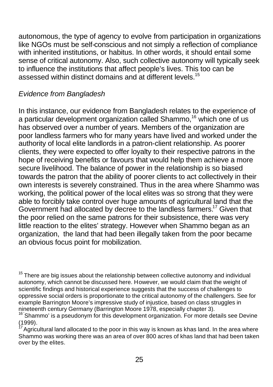autonomous, the type of agency to evolve from participation in organizations like NGOs must be self-conscious and not simply a reflection of compliance with inherited institutions, or habitus. In other words, it should entail some sense of critical autonomy. Also, such collective autonomy will typically seek to influence the institutions that affect people's lives. This too can be assessed within distinct domains and at different levels.<sup>15</sup>

#### *Evidence from Bangladesh*

In this instance, our evidence from Bangladesh relates to the experience of a particular development organization called Shammo,<sup>16</sup> which one of us has observed over a number of years. Members of the organization are poor landless farmers who for many years have lived and worked under the authority of local elite landlords in a patron-client relationship. As poorer clients, they were expected to offer loyalty to their respective patrons in the hope of receiving benefits or favours that would help them achieve a more secure livelihood. The balance of power in the relationship is so biased towards the patron that the ability of poorer clients to act collectively in their own interests is severely constrained. Thus in the area where Shammo was working, the political power of the local elites was so strong that they were able to forcibly take control over huge amounts of agricultural land that the Government had allocated by decree to the landless farmers.<sup>17</sup> Given that the poor relied on the same patrons for their subsistence, there was very little reaction to the elites' strategy. However when Shammo began as an organization, the land that had been illegally taken from the poor became an obvious focus point for mobilization.

 $15$  There are big issues about the relationship between collective autonomy and individual autonomy, which cannot be discussed here. However, we would claim that the weight of scientific findings and historical experience suggests that the success of challenges to oppressive social orders is proportionate to the critical autonomy of the challengers. See for example Barrington Moore's impressive study of injustice, based on class struggles in nineteenth century Germany (Barrington Moore 1978, especially chapter 3).

 $16$  Shammo' is a pseudonym for this development organization. For more details see Devine  $(1999)$ .

 $'$  Agricultural land allocated to the poor in this way is known as khas land. In the area where Shammo was working there was an area of over 800 acres of khas land that had been taken over by the elites.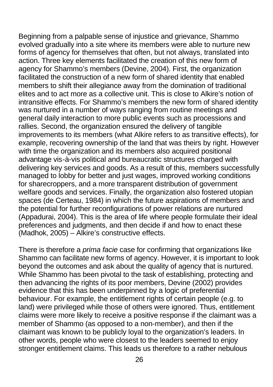Beginning from a palpable sense of injustice and grievance, Shammo evolved gradually into a site where its members were able to nurture new forms of agency for themselves that often, but not always, translated into action. Three key elements facilitated the creation of this new form of agency for Shammo's members (Devine, 2004). First, the organization facilitated the construction of a new form of shared identity that enabled members to shift their allegiance away from the domination of traditional elites and to act more as a collective unit. This is close to Alkire's notion of intransitive effects. For Shammo's members the new form of shared identity was nurtured in a number of ways ranging from routine meetings and general daily interaction to more public events such as processions and rallies. Second, the organization ensured the delivery of tangible improvements to its members (what Alkire refers to as transitive effects), for example, recovering ownership of the land that was theirs by right. However with time the organization and its members also acquired positional advantage vis-à-vis political and bureaucratic structures charged with delivering key services and goods. As a result of this, members successfully managed to lobby for better and just wages, improved working conditions for sharecroppers, and a more transparent distribution of government welfare goods and services. Finally, the organization also fostered utopian spaces (de Certeau, 1984) in which the future aspirations of members and the potential for further reconfigurations of power relations are nurtured (Appadurai, 2004). This is the area of life where people formulate their ideal preferences and judgments, and then decide if and how to enact these (Madhok, 2005) – Alkire's constructive effects.

There is therefore a *prima facie* case for confirming that organizations like Shammo can facilitate new forms of agency. However, it is important to look beyond the outcomes and ask about the quality of agency that is nurtured. While Shammo has been pivotal to the task of establishing, protecting and then advancing the rights of its poor members, Devine (2002) provides evidence that this has been underpinned by a logic of preferential behaviour. For example, the entitlement rights of certain people (e.g. to land) were privileged while those of others were ignored. Thus, entitlement claims were more likely to receive a positive response if the claimant was a member of Shammo (as opposed to a non-member), and then if the claimant was known to be publicly loyal to the organization's leaders. In other words, people who were closest to the leaders seemed to enjoy stronger entitlement claims. This leads us therefore to a rather nebulous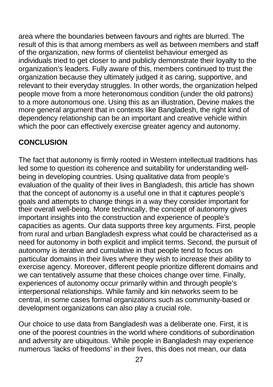area where the boundaries between favours and rights are blurred. The result of this is that among members as well as between members and staff of the organization, new forms of clientelist behaviour emerged as individuals tried to get closer to and publicly demonstrate their loyalty to the organization's leaders. Fully aware of this, members continued to trust the organization because they ultimately judged it as caring, supportive, and relevant to their everyday struggles. In other words, the organization helped people move from a more heteronomous condition (under the old patrons) to a more autonomous one. Using this as an illustration, Devine makes the more general argument that in contexts like Bangladesh, the right kind of dependency relationship can be an important and creative vehicle within which the poor can effectively exercise greater agency and autonomy.

## **CONCLUSION**

The fact that autonomy is firmly rooted in Western intellectual traditions has led some to question its coherence and suitability for understanding wellbeing in developing countries. Using qualitative data from people's evaluation of the quality of their lives in Bangladesh, this article has shown that the concept of autonomy is a useful one in that it captures people's goals and attempts to change things in a way they consider important for their overall well-being. More technically, the concept of autonomy gives important insights into the construction and experience of people's capacities as agents. Our data supports three key arguments. First, people from rural and urban Bangladesh express what could be characterised as a need for autonomy in both explicit and implicit terms. Second, the pursuit of autonomy is iterative and cumulative in that people tend to focus on particular domains in their lives where they wish to increase their ability to exercise agency. Moreover, different people prioritize different domains and we can tentatively assume that these choices change over time. Finally, experiences of autonomy occur primarily within and through people's interpersonal relationships. While family and kin networks seem to be central, in some cases formal organizations such as community-based or development organizations can also play a crucial role.

Our choice to use data from Bangladesh was a deliberate one. First, it is one of the poorest countries in the world where conditions of subordination and adversity are ubiquitous. While people in Bangladesh may experience numerous 'lacks of freedoms' in their lives, this does not mean, our data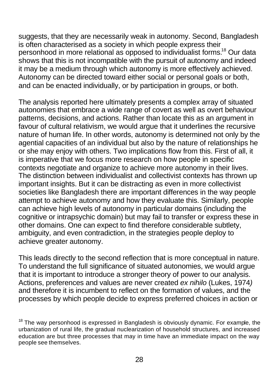suggests, that they are necessarily weak in autonomy. Second, Bangladesh is often characterised as a society in which people express their personhood in more relational as opposed to individualist forms.<sup>18</sup> Our data shows that this is not incompatible with the pursuit of autonomy and indeed it may be a medium through which autonomy is more effectively achieved. Autonomy can be directed toward either social or personal goals or both, and can be enacted individually, or by participation in groups, or both.

The analysis reported here ultimately presents a complex array of situated autonomies that embrace a wide range of covert as well as overt behaviour patterns, decisions, and actions. Rather than locate this as an argument in favour of cultural relativism, we would argue that it underlines the recursive nature of human life. In other words, autonomy is determined not only by the agential capacities of an individual but also by the nature of relationships he or she may enjoy with others. Two implications flow from this. First of all, it is imperative that we focus more research on how people in specific contexts negotiate and organize to achieve more autonomy in their lives. The distinction between individualist and collectivist contexts has thrown up important insights. But it can be distracting as even in more collectivist societies like Bangladesh there are important differences in the way people attempt to achieve autonomy and how they evaluate this. Similarly, people can achieve high levels of autonomy in particular domains (including the cognitive or intrapsychic domain) but may fail to transfer or express these in other domains. One can expect to find therefore considerable subtlety, ambiguity, and even contradiction, in the strategies people deploy to achieve greater autonomy.

This leads directly to the second reflection that is more conceptual in nature. To understand the full significance of situated autonomies, we would argue that it is important to introduce a stronger theory of power to our analysis. Actions, preferences and values are never created *ex nihilo* (Lukes, 1974*)*  and therefore it is incumbent to reflect on the formation of values, and the processes by which people decide to express preferred choices in action or

 $18$  The way personhood is expressed in Bangladesh is obviously dynamic. For example, the urbanization of rural life, the gradual nuclearization of household structures, and increased education are but three processes that may in time have an immediate impact on the way people see themselves.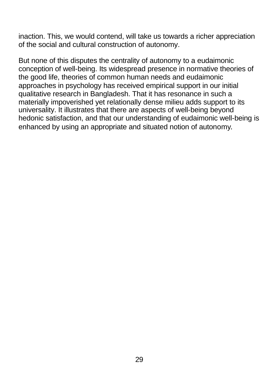inaction. This, we would contend, will take us towards a richer appreciation of the social and cultural construction of autonomy.

But none of this disputes the centrality of autonomy to a eudaimonic conception of well-being. Its widespread presence in normative theories of the good life, theories of common human needs and eudaimonic approaches in psychology has received empirical support in our initial qualitative research in Bangladesh. That it has resonance in such a materially impoverished yet relationally dense milieu adds support to its universality. It illustrates that there are aspects of well-being beyond hedonic satisfaction, and that our understanding of eudaimonic well-being is enhanced by using an appropriate and situated notion of autonomy.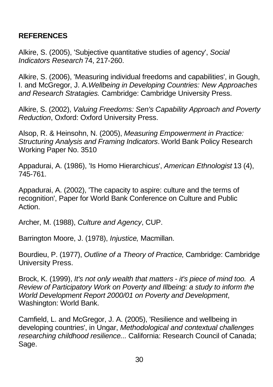### **REFERENCES**

Alkire, S. (2005), 'Subjective quantitative studies of agency', *Social Indicators Research* 74, 217-260.

Alkire, S. (2006), 'Measuring individual freedoms and capabilities', in Gough, I. and McGregor, J. A.*Wellbeing in Developing Countries: New Approaches and Research Stratagies.* Cambridge: Cambridge University Press.

Alkire, S. (2002), *Valuing Freedoms: Sen's Capability Approach and Poverty Reduction*, Oxford: Oxford University Press.

Alsop, R. & Heinsohn, N. (2005), *Measuring Empowerment in Practice: Structuring Analysis and Framing Indicators*. World Bank Policy Research Working Paper No. 3510

Appadurai, A. (1986), 'Is Homo Hierarchicus', *American Ethnologist* 13 (4), 745-761.

Appadurai, A. (2002), 'The capacity to aspire: culture and the terms of recognition', Paper for World Bank Conference on Culture and Public Action.

Archer, M. (1988), *Culture and Agency*, CUP.

Barrington Moore, J. (1978), *Injustice*, Macmillan.

Bourdieu, P. (1977), *Outline of a Theory of Practice*, Cambridge: Cambridge University Press.

Brock, K. (1999), *It's not only wealth that matters - it's piece of mind too. A Review of Participatory Work on Poverty and Illbeing: a study to inform the World Development Report 2000/01 on Poverty and Development*, Washington: World Bank.

Camfield, L. and McGregor, J. A. (2005), 'Resilience and wellbeing in developing countries', in Ungar, *Methodological and contextual challenges researching childhood resilience...* California: Research Council of Canada; Sage.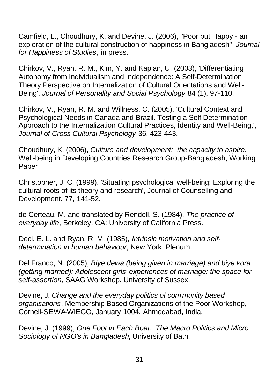Camfield, L., Choudhury, K. and Devine, J. (2006), ''Poor but Happy - an exploration of the cultural construction of happiness in Bangladesh'', *Journal for Happiness of Studies*, in press.

Chirkov, V., Ryan, R. M., Kim, Y. and Kaplan, U. (2003), 'Differentiating Autonomy from Individualism and Independence: A Self-Determination Theory Perspective on Internalization of Cultural Orientations and Well-Being', *Journal of Personality and Social Psychology* 84 (1), 97-110.

Chirkov, V., Ryan, R. M. and Willness, C. (2005), 'Cultural Context and Psychological Needs in Canada and Brazil. Testing a Self Determination Approach to the Internalization Cultural Practices, Identity and Well-Being,', *Journal of Cross Cultural Psychology* 36, 423-443.

Choudhury, K. (2006), *Culture and development: the capacity to aspire*. Well-being in Developing Countries Research Group-Bangladesh, Working Paper

Christopher, J. C. (1999), 'Situating psychological well-being: Exploring the cultural roots of its theory and research', Journal of Counselling and Development*.* 77, 141-52.

de Certeau, M. and translated by Rendell, S. (1984), *The practice of everyday life*, Berkeley, CA: University of California Press.

Deci, E. L. and Ryan, R. M. (1985), *Intrinsic motivation and selfdetermination in human behaviour*, New York: Plenum.

Del Franco, N. (2005), *Biye dewa (being given in marriage) and biye kora (getting married): Adolescent girls' experiences of marriage: the space for self-assertion*, SAAG Workshop, University of Sussex.

Devine, J. *Change and the everyday politics of community based organisations*, Membership Based Organizations of the Poor Workshop, Cornell-SEWA-WIEGO, January 1004, Ahmedabad, India.

Devine, J. (1999), *One Foot in Each Boat. The Macro Politics and Micro Sociology of NGO's in Bangladesh*, University of Bath.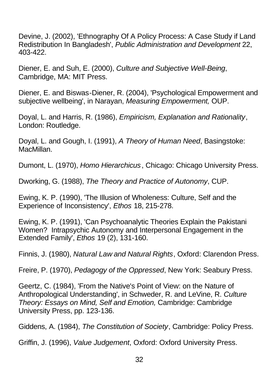Devine, J. (2002), 'Ethnography Of A Policy Process: A Case Study if Land Redistribution In Bangladesh', *Public Administration and Development* 22, 403-422.

Diener, E. and Suh, E. (2000), *Culture and Subjective Well-Being*, Cambridge, MA: MIT Press.

Diener, E. and Biswas-Diener, R. (2004), 'Psychological Empowerment and subjective wellbeing', in Narayan, *Measuring Empowerment,* OUP.

Doyal, L. and Harris, R. (1986), *Empiricism, Explanation and Rationality*, London: Routledge.

Doyal, L. and Gough, I. (1991), *A Theory of Human Need*, Basingstoke: MacMillan.

Dumont, L. (1970), *Homo Hierarchicus*, Chicago: Chicago University Press.

Dworking, G. (1988), *The Theory and Practice of Autonomy*, CUP.

Ewing, K. P. (1990), 'The Illusion of Wholeness: Culture, Self and the Experience of Inconsistency', *Ethos* 18, 215-278.

Ewing, K. P. (1991), 'Can Psychoanalytic Theories Explain the Pakistani Women? Intrapsychic Autonomy and Interpersonal Engagement in the Extended Family', *Ethos* 19 (2), 131-160.

Finnis, J. (1980), *Natural Law and Natural Rights*, Oxford: Clarendon Press.

Freire, P. (1970), *Pedagogy of the Oppressed*, New York: Seabury Press.

Geertz, C. (1984), 'From the Native's Point of View: on the Nature of Anthropological Understanding', in Schweder, R. and LeVine, R. *Culture Theory: Essays on Mind, Self and Emotion,* Cambridge: Cambridge University Press, pp. 123-136.

Giddens, A. (1984), *The Constitution of Society*, Cambridge: Policy Press.

Griffin, J. (1996), *Value Judgement*, Oxford: Oxford University Press.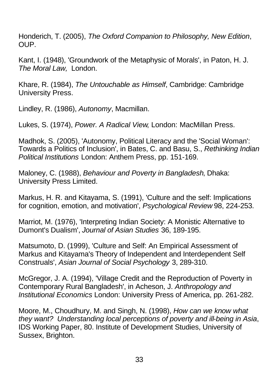Honderich, T. (2005), *The Oxford Companion to Philosophy, New Edition*, OUP.

Kant, I. (1948), 'Groundwork of the Metaphysic of Morals', in Paton, H. J. *The Moral Law,* London.

Khare, R. (1984), *The Untouchable as Himself*, Cambridge: Cambridge University Press.

Lindley, R. (1986), *Autonomy*, Macmillan.

Lukes, S. (1974), *Power. A Radical View*, London: MacMillan Press.

Madhok, S. (2005), 'Autonomy, Political Literacy and the 'Social Woman': Towards a Politics of Inclusion', in Bates, C. and Basu, S., *Rethinking Indian Political Institutions* London: Anthem Press, pp. 151-169.

Maloney, C. (1988), *Behaviour and Poverty in Bangladesh*, Dhaka: University Press Limited.

Markus, H. R. and Kitayama, S. (1991), 'Culture and the self: Implications for cognition, emotion, and motivation', *Psychological Review* 98, 224-253.

Marriot, M. (1976), 'Interpreting Indian Society: A Monistic Alternative to Dumont's Dualism', *Journal of Asian Studies* 36, 189-195.

Matsumoto, D. (1999), 'Culture and Self: An Empirical Assessment of Markus and Kitayama's Theory of Independent and Interdependent Self Construals', *Asian Journal of Social Psychology* 3, 289-310.

McGregor, J. A. (1994), 'Village Credit and the Reproduction of Poverty in Contemporary Rural Bangladesh', in Acheson, J. *Anthropology and Institutional Economics* London: University Press of America, pp. 261-282.

Moore, M., Choudhury, M. and Singh, N. (1998), *How can we know what they want? Understanding local perceptions of poverty and ill-being in Asia*, IDS Working Paper, 80. Institute of Development Studies, University of Sussex, Brighton.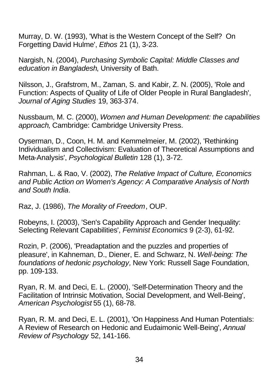Murray, D. W. (1993), 'What is the Western Concept of the Self? On Forgetting David Hulme', *Ethos* 21 (1), 3-23.

Nargish, N. (2004), *Purchasing Symbolic Capital: Middle Classes and education in Bangladesh*, University of Bath.

Nilsson, J., Grafstrom, M., Zaman, S. and Kabir, Z. N. (2005), 'Role and Function: Aspects of Quality of Life of Older People in Rural Bangladesh', *Journal of Aging Studies* 19, 363-374.

Nussbaum, M. C. (2000), *Women and Human Development: the capabilities approach*, Cambridge: Cambridge University Press.

Oyserman, D., Coon, H. M. and Kemmelmeier, M. (2002), 'Rethinking Individualism and Collectivism: Evaluation of Theoretical Assumptions and Meta-Analysis', *Psychological Bulletin* 128 (1), 3-72.

Rahman, L. & Rao, V. (2002), *The Relative Impact of Culture, Economics and Public Action on Women's Agency: A Comparative Analysis of North and South India*.

Raz, J. (1986), *The Morality of Freedom*, OUP.

Robeyns, I. (2003), 'Sen's Capability Approach and Gender Inequality: Selecting Relevant Capabilities', *Feminist Economics* 9 (2-3), 61-92.

Rozin, P. (2006), 'Preadaptation and the puzzles and properties of pleasure', in Kahneman, D., Diener, E. and Schwarz, N. *Well-being: The foundations of hedonic psychology,* New York: Russell Sage Foundation, pp. 109-133.

Ryan, R. M. and Deci, E. L. (2000), 'Self-Determination Theory and the Facilitation of Intrinsic Motivation, Social Development, and Well-Being', *American Psychologist* 55 (1), 68-78.

Ryan, R. M. and Deci, E. L. (2001), 'On Happiness And Human Potentials: A Review of Research on Hedonic and Eudaimonic Well-Being', *Annual Review of Psychology* 52, 141-166.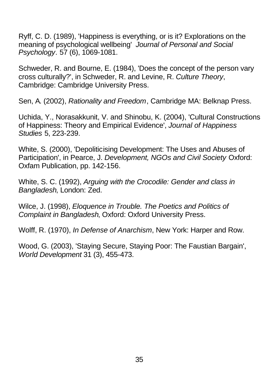Ryff, C. D. (1989), 'Happiness is everything, or is it? Explorations on the meaning of psychological wellbeing' *Journal of Personal and Social Psychology.* 57 (6), 1069-1081.

Schweder, R. and Bourne, E. (1984), 'Does the concept of the person vary cross culturally?', in Schweder, R. and Levine, R. *Culture Theory*, Cambridge: Cambridge University Press.

Sen, A. (2002), *Rationality and Freedom*, Cambridge MA: Belknap Press.

Uchida, Y., Norasakkunit, V. and Shinobu, K. (2004), 'Cultural Constructions of Happiness: Theory and Empirical Evidence', *Journal of Happiness Studies* 5, 223-239.

White, S. (2000), 'Depoliticising Development: The Uses and Abuses of Participation', in Pearce, J. *Development, NGOs and Civil Society* Oxford: Oxfam Publication, pp. 142-156.

White, S. C. (1992), *Arguing with the Crocodile: Gender and class in Bangladesh*, London: Zed.

Wilce, J. (1998), *Eloquence in Trouble. The Poetics and Politics of Complaint in Bangladesh*, Oxford: Oxford University Press.

Wolff, R. (1970), *In Defense of Anarchism*, New York: Harper and Row.

Wood, G. (2003), 'Staying Secure, Staying Poor: The Faustian Bargain', *World Development* 31 (3), 455-473.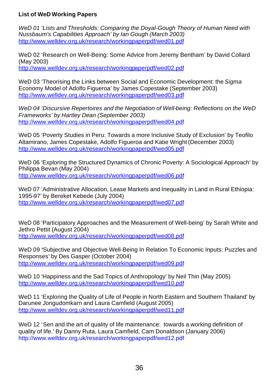#### **List of WeD Working Papers**

*WeD 01 'Lists and Thresholds: Comparing the Doyal-Gough Theory of Human Need with Nussbaum's Capabilities Approach' by Ian Gough (March 2003)* http://www.welldev.org.uk/research/workingpaperpdf/wed01.pdf

WeD 02 'Research on Well-Being: Some Advice from Jeremy Bentham' by David Collard (May 2003) http://www.welldev.org.uk/research/workingpaperpdf/wed02.pdf

WeD 03 'Theorising the Links between Social and Economic Development: the *Sigma*  Economy Model of Adolfo Figueroa' by James Copestake (September 2003) http://www.welldev.org.uk/research/workingpaperpdf/wed03.pdf

*WeD 04 'Discursive Repertoires and the Negotiation of Well-being: Reflections on the WeD Frameworks' by Hartley Dean (September 2003)* http://www.welldev.org.uk/research/workingpaperpdf/wed04.pdf

WeD 05 'Poverty Studies in Peru: Towards a more Inclusive Study of Exclusion' by Teofilo Altamirano, James Copestake, Adolfo Figueroa and Katie Wright (December 2003) http://www.welldev.org.uk/research/workingpaperpdf/wed05.pdf

WeD 06 'Exploring the Structured Dynamics of Chronic Poverty: A Sociological Approach' by Philippa Bevan (May 2004) http://www.welldev.org.uk/research/workingpaperpdf/wed06.pdf

WeD 07 'Administrative Allocation, Lease Markets and Inequality in Land in Rural Ethiopia: 1995-97' by Bereket Kebede (July 2004) http://www.welldev.org.uk/research/workingpaperpdf/wed07.pdf

WeD 08 'Participatory Approaches and the Measurement of Well-being' by Sarah White and Jethro Pettit (August 2004) http://www.welldev.org.uk/research/workingpaperpdf/wed08.pdf

WeD 09 **'**Subjective and Objective Well-Being In Relation To Economic Inputs: Puzzles and Responses' by Des Gasper (October 2004) http://www.welldev.org.uk/research/workingpaperpdf/wed09.pdf

WeD 10 'Happiness and the Sad Topics of Anthropology' by Neil Thin (May 2005) http://www.welldev.org.uk/research/workingpaperpdf/wed10.pdf

WeD 11 'Exploring the Quality of Life of People in North Eastern and Southern Thailand' by Darunee Jongudomkarn and Laura Camfield (August 2005) http://www.welldev.org.uk/research/workingpaperpdf/wed11.pdf

WeD 12 'Sen and the art of quality of life maintenance: towards a working definition of quality of life.' By Danny Ruta, Laura Camfield, Cam Donaldson (January 2006) http://www.welldev.org.uk/research/workingpaperpdf/wed12.pdf